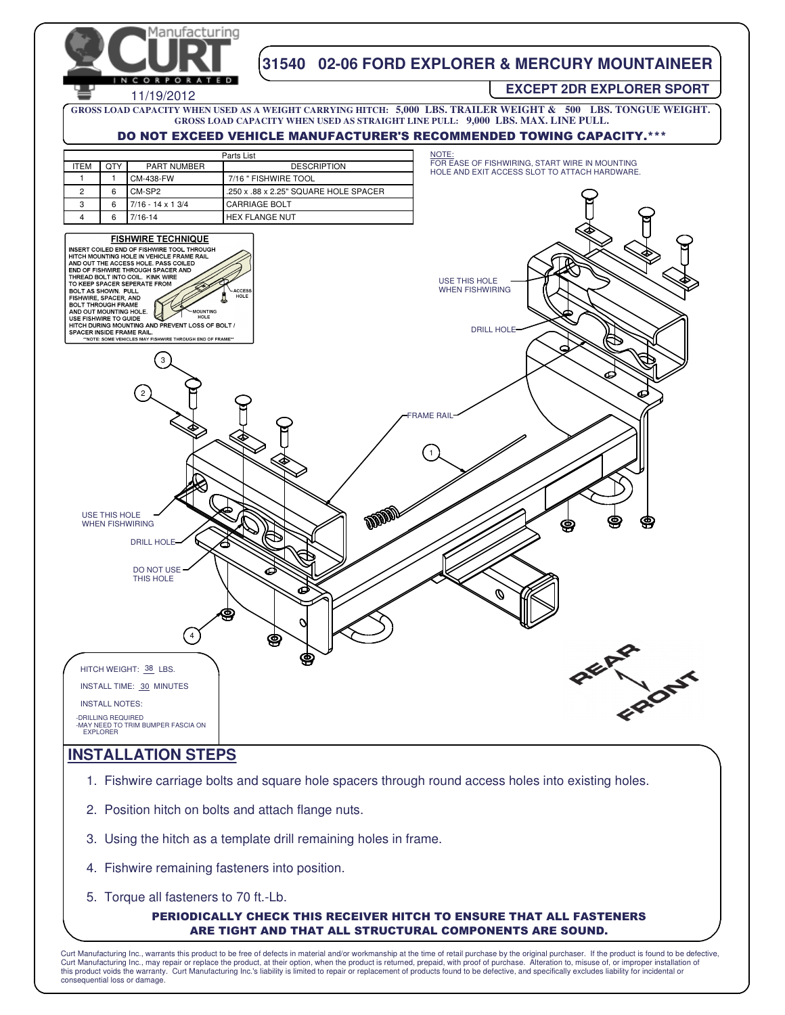

## **INSTALLATION STEPS**

- 1. Fishwire carriage bolts and square hole spacers through round access holes into existing holes.
- 2. Position hitch on bolts and attach flange nuts.
- 3. Using the hitch as a template drill remaining holes in frame.
- 4. Fishwire remaining fasteners into position.
- 5. Torque all fasteners to 70 ft.-Lb.

### PERIODICALLY CHECK THIS RECEIVER HITCH TO ENSURE THAT ALL FASTENERS ARE TIGHT AND THAT ALL STRUCTURAL COMPONENTS ARE SOUND.

Curt Manufacturing Inc., warrants this product to be free of defects in material and/or workmanship at the time of retail purchase by the original purchaser. If the product is found to be defective, Curt Manufacturing Inc., may repair or replace the product, at their option, when the product is returned, prepaid, with proof of purchase. Alteration to, misuse of, or improper installation of<br>this product voids the warra consequential loss or damage.